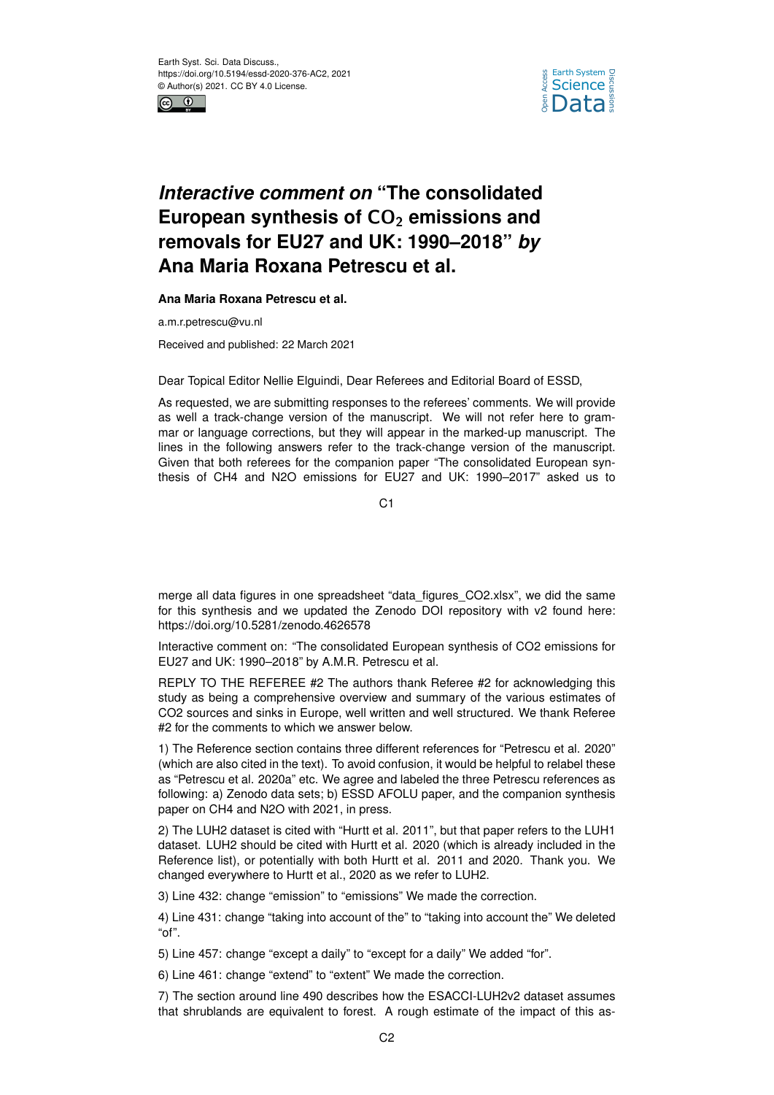



## *Interactive comment on* **"The consolidated** European synthesis of CO<sub>2</sub> emissions and **removals for EU27 and UK: 1990–2018"** *by* **Ana Maria Roxana Petrescu et al.**

## **Ana Maria Roxana Petrescu et al.**

a.m.r.petrescu@vu.nl

Received and published: 22 March 2021

Dear Topical Editor Nellie Elguindi, Dear Referees and Editorial Board of ESSD,

As requested, we are submitting responses to the referees' comments. We will provide as well a track-change version of the manuscript. We will not refer here to grammar or language corrections, but they will appear in the marked-up manuscript. The lines in the following answers refer to the track-change version of the manuscript. Given that both referees for the companion paper "The consolidated European synthesis of CH4 and N2O emissions for EU27 and UK: 1990–2017" asked us to

 $C<sub>1</sub>$ 

merge all data figures in one spreadsheet "data\_figures\_CO2.xlsx", we did the same for this synthesis and we updated the Zenodo DOI repository with v2 found here: https://doi.org/10.5281/zenodo.4626578

Interactive comment on: "The consolidated European synthesis of CO2 emissions for EU27 and UK: 1990–2018" by A.M.R. Petrescu et al.

REPLY TO THE REFEREE #2 The authors thank Referee #2 for acknowledging this study as being a comprehensive overview and summary of the various estimates of CO2 sources and sinks in Europe, well written and well structured. We thank Referee #2 for the comments to which we answer below.

1) The Reference section contains three different references for "Petrescu et al. 2020" (which are also cited in the text). To avoid confusion, it would be helpful to relabel these as "Petrescu et al. 2020a" etc. We agree and labeled the three Petrescu references as following: a) Zenodo data sets; b) ESSD AFOLU paper, and the companion synthesis paper on CH4 and N2O with 2021, in press.

2) The LUH2 dataset is cited with "Hurtt et al. 2011", but that paper refers to the LUH1 dataset. LUH2 should be cited with Hurtt et al. 2020 (which is already included in the Reference list), or potentially with both Hurtt et al. 2011 and 2020. Thank you. We changed everywhere to Hurtt et al., 2020 as we refer to LUH2.

3) Line 432: change "emission" to "emissions" We made the correction.

4) Line 431: change "taking into account of the" to "taking into account the" We deleted "of".

5) Line 457: change "except a daily" to "except for a daily" We added "for".

6) Line 461: change "extend" to "extent" We made the correction.

7) The section around line 490 describes how the ESACCI-LUH2v2 dataset assumes that shrublands are equivalent to forest. A rough estimate of the impact of this as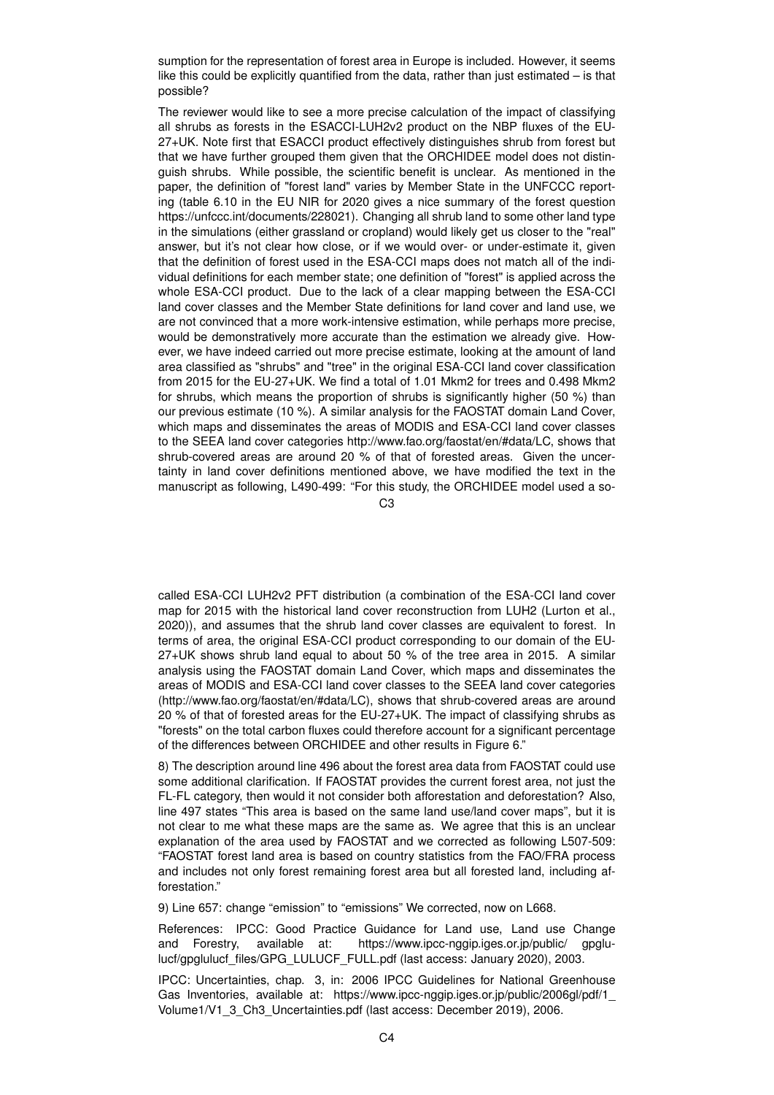sumption for the representation of forest area in Europe is included. However, it seems like this could be explicitly quantified from the data, rather than just estimated – is that possible?

The reviewer would like to see a more precise calculation of the impact of classifying all shrubs as forests in the ESACCI-LUH2v2 product on the NBP fluxes of the EU-27+UK. Note first that ESACCI product effectively distinguishes shrub from forest but that we have further grouped them given that the ORCHIDEE model does not distinguish shrubs. While possible, the scientific benefit is unclear. As mentioned in the paper, the definition of "forest land" varies by Member State in the UNFCCC reporting (table 6.10 in the EU NIR for 2020 gives a nice summary of the forest question https://unfccc.int/documents/228021). Changing all shrub land to some other land type in the simulations (either grassland or cropland) would likely get us closer to the "real" answer, but it's not clear how close, or if we would over- or under-estimate it, given that the definition of forest used in the ESA-CCI maps does not match all of the individual definitions for each member state; one definition of "forest" is applied across the whole ESA-CCI product. Due to the lack of a clear mapping between the ESA-CCI land cover classes and the Member State definitions for land cover and land use, we are not convinced that a more work-intensive estimation, while perhaps more precise, would be demonstratively more accurate than the estimation we already give. However, we have indeed carried out more precise estimate, looking at the amount of land area classified as "shrubs" and "tree" in the original ESA-CCI land cover classification from 2015 for the EU-27+UK. We find a total of 1.01 Mkm2 for trees and 0.498 Mkm2 for shrubs, which means the proportion of shrubs is significantly higher (50 %) than our previous estimate (10 %). A similar analysis for the FAOSTAT domain Land Cover, which maps and disseminates the areas of MODIS and ESA-CCI land cover classes to the SEEA land cover categories http://www.fao.org/faostat/en/#data/LC, shows that shrub-covered areas are around 20 % of that of forested areas. Given the uncertainty in land cover definitions mentioned above, we have modified the text in the manuscript as following, L490-499: "For this study, the ORCHIDEE model used a so-

 $C<sub>3</sub>$ 

called ESA-CCI LUH2v2 PFT distribution (a combination of the ESA-CCI land cover map for 2015 with the historical land cover reconstruction from LUH2 (Lurton et al., 2020)), and assumes that the shrub land cover classes are equivalent to forest. In terms of area, the original ESA-CCI product corresponding to our domain of the EU-27+UK shows shrub land equal to about 50 % of the tree area in 2015. A similar analysis using the FAOSTAT domain Land Cover, which maps and disseminates the areas of MODIS and ESA-CCI land cover classes to the SEEA land cover categories (http://www.fao.org/faostat/en/#data/LC), shows that shrub-covered areas are around 20 % of that of forested areas for the EU-27+UK. The impact of classifying shrubs as "forests" on the total carbon fluxes could therefore account for a significant percentage of the differences between ORCHIDEE and other results in Figure 6."

8) The description around line 496 about the forest area data from FAOSTAT could use some additional clarification. If FAOSTAT provides the current forest area, not just the FL-FL category, then would it not consider both afforestation and deforestation? Also, line 497 states "This area is based on the same land use/land cover maps", but it is not clear to me what these maps are the same as. We agree that this is an unclear explanation of the area used by FAOSTAT and we corrected as following L507-509: "FAOSTAT forest land area is based on country statistics from the FAO/FRA process and includes not only forest remaining forest area but all forested land, including afforestation."

9) Line 657: change "emission" to "emissions" We corrected, now on L668.

References: IPCC: Good Practice Guidance for Land use, Land use Change and Forestry, available at: https://www.ipcc-nggip.iges.or.jp/public/ gpglulucf/gpglulucf\_files/GPG\_LULUCF\_FULL.pdf (last access: January 2020), 2003.

IPCC: Uncertainties, chap. 3, in: 2006 IPCC Guidelines for National Greenhouse Gas Inventories, available at: https://www.ipcc-nggip.iges.or.jp/public/2006gl/pdf/1\_ Volume1/V1\_3\_Ch3\_Uncertainties.pdf (last access: December 2019), 2006.